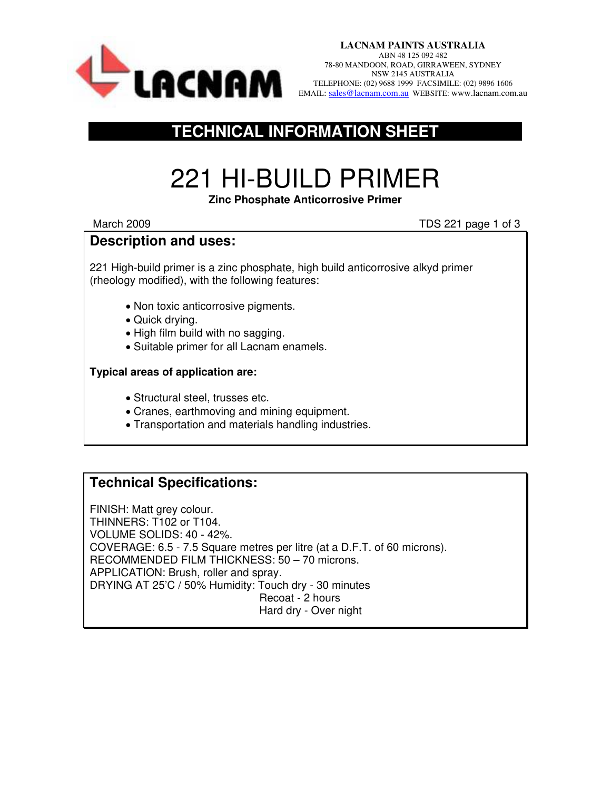

## **TECHNICAL INFORMATION SHEET**

# 221 HI-BUILD PRIMER

#### **Zinc Phosphate Anticorrosive Primer**

March 2009 March 2009 **March 2009** March 2009 **TDS 221 page 1 of 3** 

### **Description and uses:**

221 High-build primer is a zinc phosphate, high build anticorrosive alkyd primer (rheology modified), with the following features:

- Non toxic anticorrosive pigments.
- Quick drying.
- High film build with no sagging.
- Suitable primer for all Lacnam enamels.

#### **Typical areas of application are:**

- Structural steel, trusses etc.
- Cranes, earthmoving and mining equipment.
- Transportation and materials handling industries.

## **Technical Specifications:**

FINISH: Matt grey colour. THINNERS: T102 or T104. VOLUME SOLIDS: 40 - 42%. COVERAGE: 6.5 - 7.5 Square metres per litre (at a D.F.T. of 60 microns). RECOMMENDED FILM THICKNESS: 50 – 70 microns. APPLICATION: Brush, roller and spray. DRYING AT 25'C / 50% Humidity: Touch dry - 30 minutes Recoat - 2 hours Hard dry - Over night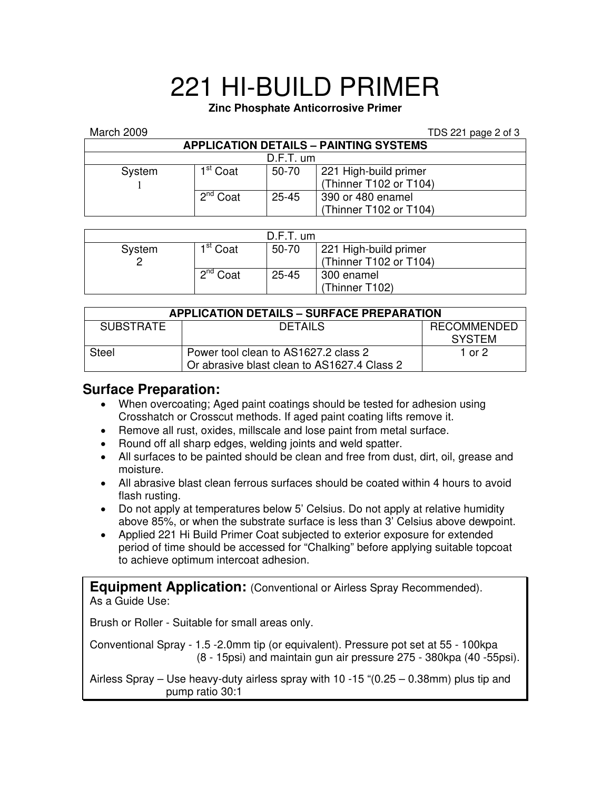## 221 HI-BUILD PRIMER

#### **Zinc Phosphate Anticorrosive Primer**

| March 2009                                    |                      |           | TDS 221 page 2 of 3    |  |  |  |  |
|-----------------------------------------------|----------------------|-----------|------------------------|--|--|--|--|
| <b>APPLICATION DETAILS - PAINTING SYSTEMS</b> |                      |           |                        |  |  |  |  |
| $D.F.T.$ um                                   |                      |           |                        |  |  |  |  |
| System                                        | 1 <sup>st</sup> Coat | 50-70     | 221 High-build primer  |  |  |  |  |
|                                               |                      |           | (Thinner T102 or T104) |  |  |  |  |
|                                               | 2 <sup>nd</sup> Coat | $25 - 45$ | 390 or 480 enamel      |  |  |  |  |
|                                               |                      |           | (Thinner T102 or T104) |  |  |  |  |

| $D.F.T.$ um |                      |           |                                                 |  |  |
|-------------|----------------------|-----------|-------------------------------------------------|--|--|
| System      | 1 <sup>st</sup> Coat | 50-70     | 221 High-build primer<br>(Thinner T102 or T104) |  |  |
|             | $2^{nd}$ Coat        | $25 - 45$ | 300 enamel<br>(Thinner T102)                    |  |  |

| <b>APPLICATION DETAILS - SURFACE PREPARATION</b> |                                             |                    |  |  |  |
|--------------------------------------------------|---------------------------------------------|--------------------|--|--|--|
| <b>SUBSTRATE</b>                                 | <b>DETAILS</b>                              | <b>RECOMMENDED</b> |  |  |  |
|                                                  |                                             | <b>SYSTEM</b>      |  |  |  |
| Steel                                            | Power tool clean to AS1627.2 class 2        | 1 or 2             |  |  |  |
|                                                  | Or abrasive blast clean to AS1627.4 Class 2 |                    |  |  |  |

## **Surface Preparation:**

- When overcoating; Aged paint coatings should be tested for adhesion using Crosshatch or Crosscut methods. If aged paint coating lifts remove it.
- Remove all rust, oxides, millscale and lose paint from metal surface.
- Round off all sharp edges, welding joints and weld spatter.
- All surfaces to be painted should be clean and free from dust, dirt, oil, grease and moisture.
- All abrasive blast clean ferrous surfaces should be coated within 4 hours to avoid flash rusting.
- Do not apply at temperatures below 5' Celsius. Do not apply at relative humidity above 85%, or when the substrate surface is less than 3' Celsius above dewpoint.
- Applied 221 Hi Build Primer Coat subjected to exterior exposure for extended period of time should be accessed for "Chalking" before applying suitable topcoat to achieve optimum intercoat adhesion.

**Equipment Application:** (Conventional or Airless Spray Recommended). As a Guide Use:

Brush or Roller - Suitable for small areas only.

Conventional Spray - 1.5 -2.0mm tip (or equivalent). Pressure pot set at 55 - 100kpa (8 - 15psi) and maintain gun air pressure 275 - 380kpa (40 -55psi).

Airless Spray – Use heavy-duty airless spray with 10 -15 "(0.25 – 0.38mm) plus tip and pump ratio 30:1